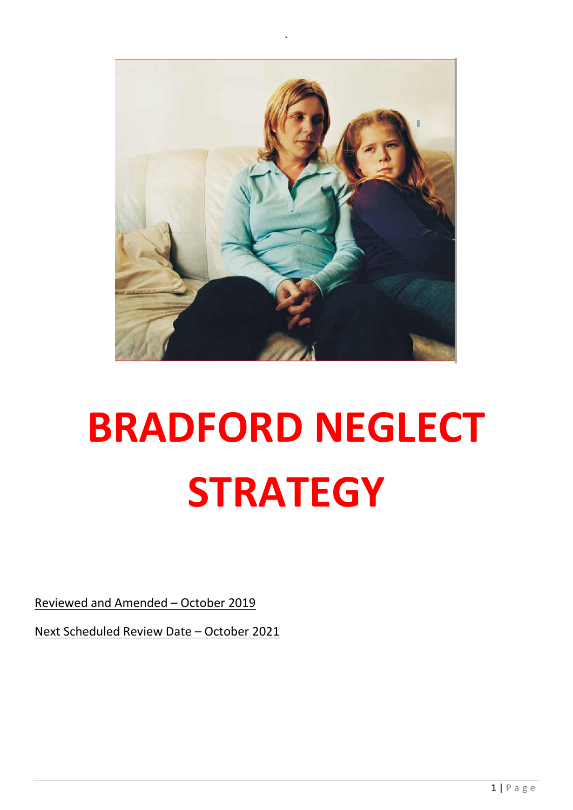

# **BRADFORD NEGLECT STRATEGY**

Reviewed and Amended – October 2019

Next Scheduled Review Date – October 2021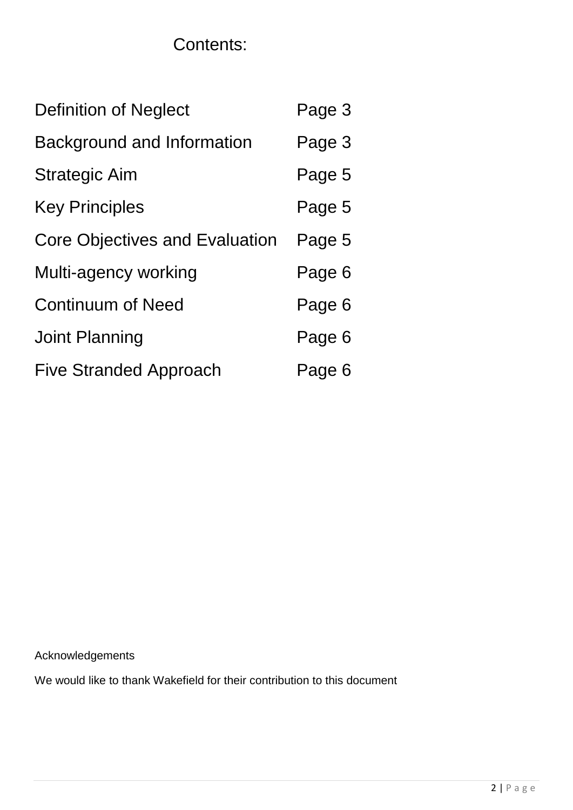# Contents:

| <b>Definition of Neglect</b>          | Page 3 |
|---------------------------------------|--------|
| <b>Background and Information</b>     | Page 3 |
| <b>Strategic Aim</b>                  | Page 5 |
| <b>Key Principles</b>                 | Page 5 |
| <b>Core Objectives and Evaluation</b> | Page 5 |
| Multi-agency working                  | Page 6 |
| <b>Continuum of Need</b>              | Page 6 |
| <b>Joint Planning</b>                 | Page 6 |
| <b>Five Stranded Approach</b>         | Page 6 |

Acknowledgements

We would like to thank Wakefield for their contribution to this document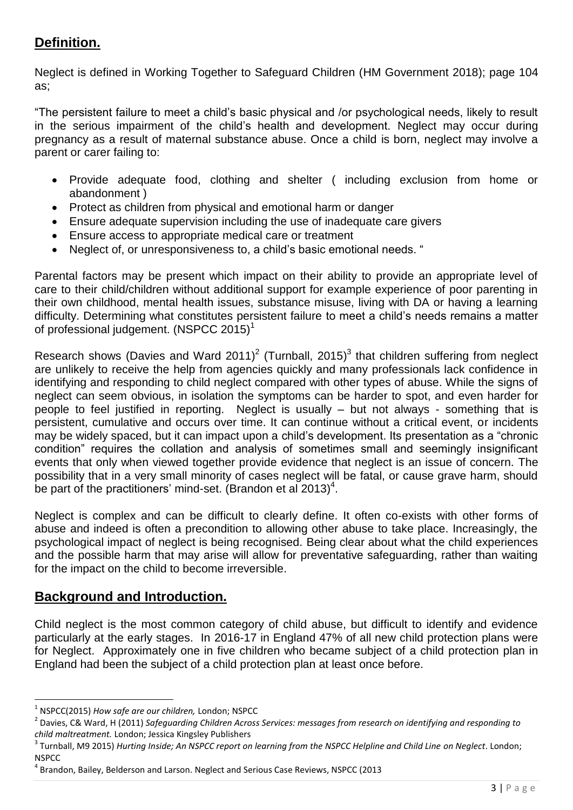# **Definition.**

Neglect is defined in Working Together to Safeguard Children (HM Government 2018); page 104 as;

"The persistent failure to meet a child's basic physical and /or psychological needs, likely to result in the serious impairment of the child's health and development. Neglect may occur during pregnancy as a result of maternal substance abuse. Once a child is born, neglect may involve a parent or carer failing to:

- Provide adequate food, clothing and shelter ( including exclusion from home or abandonment )
- Protect as children from physical and emotional harm or danger
- Ensure adequate supervision including the use of inadequate care givers
- Ensure access to appropriate medical care or treatment
- Neglect of, or unresponsiveness to, a child's basic emotional needs. "

Parental factors may be present which impact on their ability to provide an appropriate level of care to their child/children without additional support for example experience of poor parenting in their own childhood, mental health issues, substance misuse, living with DA or having a learning difficulty. Determining what constitutes persistent failure to meet a child's needs remains a matter of professional judgement. (NSPCC 2015)<sup>1</sup>

Research shows (Davies and Ward 2011)<sup>2</sup> (Turnball, 2015)<sup>3</sup> that children suffering from neglect are unlikely to receive the help from agencies quickly and many professionals lack confidence in identifying and responding to child neglect compared with other types of abuse. While the signs of neglect can seem obvious, in isolation the symptoms can be harder to spot, and even harder for people to feel justified in reporting. Neglect is usually – but not always - something that is persistent, cumulative and occurs over time. It can continue without a critical event, or incidents may be widely spaced, but it can impact upon a child's development. Its presentation as a "chronic condition" requires the collation and analysis of sometimes small and seemingly insignificant events that only when viewed together provide evidence that neglect is an issue of concern. The possibility that in a very small minority of cases neglect will be fatal, or cause grave harm, should be part of the practitioners' mind-set. (Brandon et al 2013)<sup>4</sup>.

Neglect is complex and can be difficult to clearly define. It often co-exists with other forms of abuse and indeed is often a precondition to allowing other abuse to take place. Increasingly, the psychological impact of neglect is being recognised. Being clear about what the child experiences and the possible harm that may arise will allow for preventative safeguarding, rather than waiting for the impact on the child to become irreversible.

#### **Background and Introduction.**

Child neglect is the most common category of child abuse, but difficult to identify and evidence particularly at the early stages. In 2016-17 in England 47% of all new child protection plans were for Neglect. Approximately one in five children who became subject of a child protection plan in England had been the subject of a child protection plan at least once before.

1

<sup>1</sup> NSPCC(2015) *How safe are our children,* London; NSPCC

<sup>2</sup> Davies, C& Ward, H (2011) *Safeguarding Children Across Services: messages from research on identifying and responding to child maltreatment.* London; Jessica Kingsley Publishers

<sup>3</sup> Turnball, M9 2015) *Hurting Inside; An NSPCC report on learning from the NSPCC Helpline and Child Line on Neglect*. London; **NSPCC** 

<sup>&</sup>lt;sup>4</sup> Brandon, Bailey, Belderson and Larson. Neglect and Serious Case Reviews, NSPCC (2013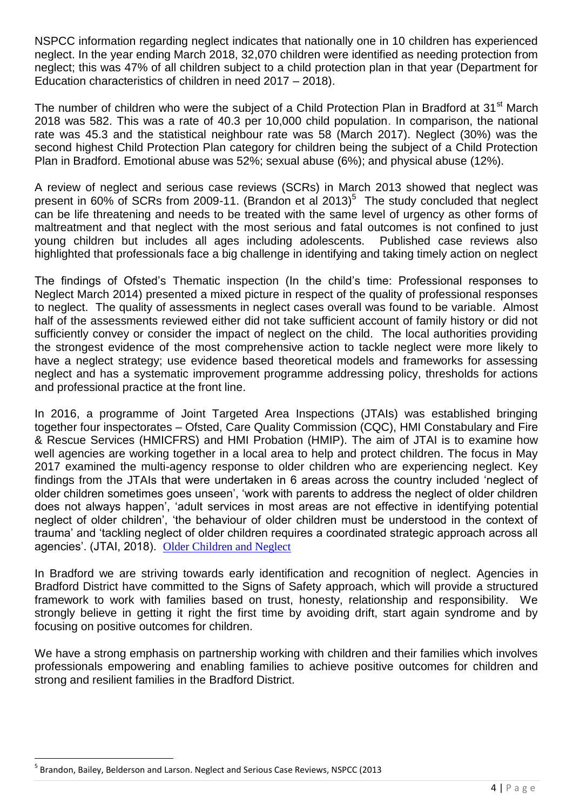NSPCC information regarding neglect indicates that nationally one in 10 children has experienced neglect. In the year ending March 2018, 32,070 children were identified as needing protection from neglect; this was 47% of all children subject to a child protection plan in that year (Department for Education characteristics of children in need 2017 – 2018).

The number of children who were the subject of a Child Protection Plan in Bradford at 31<sup>st</sup> March 2018 was 582. This was a rate of 40.3 per 10,000 child population. In comparison, the national rate was 45.3 and the statistical neighbour rate was 58 (March 2017). Neglect (30%) was the second highest Child Protection Plan category for children being the subject of a Child Protection Plan in Bradford. Emotional abuse was 52%; sexual abuse (6%); and physical abuse (12%).

A review of neglect and serious case reviews (SCRs) in March 2013 showed that neglect was present in 60% of SCRs from 2009-11. (Brandon et al 2013)<sup>5</sup> The study concluded that neglect can be life threatening and needs to be treated with the same level of urgency as other forms of maltreatment and that neglect with the most serious and fatal outcomes is not confined to just young children but includes all ages including adolescents. Published case reviews also highlighted that professionals face a big challenge in identifying and taking timely action on neglect

The findings of Ofsted's Thematic inspection (In the child's time: Professional responses to Neglect March 2014) presented a mixed picture in respect of the quality of professional responses to neglect. The quality of assessments in neglect cases overall was found to be variable. Almost half of the assessments reviewed either did not take sufficient account of family history or did not sufficiently convey or consider the impact of neglect on the child. The local authorities providing the strongest evidence of the most comprehensive action to tackle neglect were more likely to have a neglect strategy; use evidence based theoretical models and frameworks for assessing neglect and has a systematic improvement programme addressing policy, thresholds for actions and professional practice at the front line.

In 2016, a programme of Joint Targeted Area Inspections (JTAIs) was established bringing together four inspectorates – Ofsted, Care Quality Commission (CQC), HMI Constabulary and Fire & Rescue Services (HMICFRS) and HMI Probation (HMIP). The aim of JTAI is to examine how well agencies are working together in a local area to help and protect children. The focus in May 2017 examined the multi-agency response to older children who are experiencing neglect. Key findings from the JTAIs that were undertaken in 6 areas across the country included 'neglect of older children sometimes goes unseen', 'work with parents to address the neglect of older children does not always happen', 'adult services in most areas are not effective in identifying potential neglect of older children', 'the behaviour of older children must be understood in the context of trauma' and 'tackling neglect of older children requires a coordinated strategic approach across all agencies'. (JTAI, 2018). [Older Children and Neglect](https://assets.publishing.service.gov.uk/government/uploads/system/uploads/attachment_data/file/722740/Older_children_neglect_FINAL_060718.pdf)

In Bradford we are striving towards early identification and recognition of neglect. Agencies in Bradford District have committed to the Signs of Safety approach, which will provide a structured framework to work with families based on trust, honesty, relationship and responsibility. We strongly believe in getting it right the first time by avoiding drift, start again syndrome and by focusing on positive outcomes for children.

We have a strong emphasis on partnership working with children and their families which involves professionals empowering and enabling families to achieve positive outcomes for children and strong and resilient families in the Bradford District.

**.** 

<sup>&</sup>lt;sup>5</sup> Brandon, Bailey, Belderson and Larson. Neglect and Serious Case Reviews, NSPCC (2013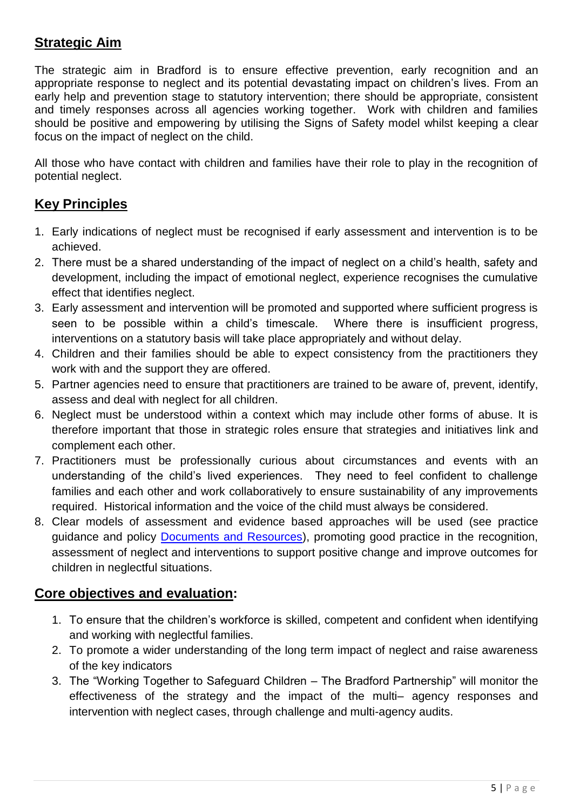# **Strategic Aim**

The strategic aim in Bradford is to ensure effective prevention, early recognition and an appropriate response to neglect and its potential devastating impact on children's lives. From an early help and prevention stage to statutory intervention; there should be appropriate, consistent and timely responses across all agencies working together. Work with children and families should be positive and empowering by utilising the Signs of Safety model whilst keeping a clear focus on the impact of neglect on the child.

All those who have contact with children and families have their role to play in the recognition of potential neglect.

## **Key Principles**

- 1. Early indications of neglect must be recognised if early assessment and intervention is to be achieved.
- 2. There must be a shared understanding of the impact of neglect on a child's health, safety and development, including the impact of emotional neglect, experience recognises the cumulative effect that identifies neglect.
- 3. Early assessment and intervention will be promoted and supported where sufficient progress is seen to be possible within a child's timescale. Where there is insufficient progress, interventions on a statutory basis will take place appropriately and without delay.
- 4. Children and their families should be able to expect consistency from the practitioners they work with and the support they are offered.
- 5. Partner agencies need to ensure that practitioners are trained to be aware of, prevent, identify, assess and deal with neglect for all children.
- 6. Neglect must be understood within a context which may include other forms of abuse. It is therefore important that those in strategic roles ensure that strategies and initiatives link and complement each other.
- 7. Practitioners must be professionally curious about circumstances and events with an understanding of the child's lived experiences. They need to feel confident to challenge families and each other and work collaboratively to ensure sustainability of any improvements required. Historical information and the voice of the child must always be considered.
- 8. Clear models of assessment and evidence based approaches will be used (see practice guidance and policy [Documents and Resources\)](http://bradfordscb.org.uk/?page_id=107), promoting good practice in the recognition, assessment of neglect and interventions to support positive change and improve outcomes for children in neglectful situations.

# **Core objectives and evaluation:**

- 1. To ensure that the children's workforce is skilled, competent and confident when identifying and working with neglectful families.
- 2. To promote a wider understanding of the long term impact of neglect and raise awareness of the key indicators
- 3. The "Working Together to Safeguard Children The Bradford Partnership" will monitor the effectiveness of the strategy and the impact of the multi– agency responses and intervention with neglect cases, through challenge and multi-agency audits.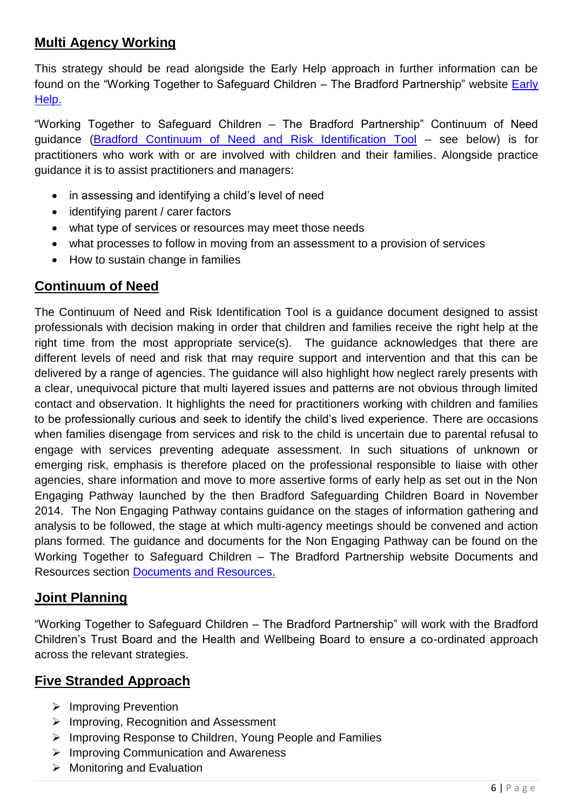## **Multi Agency Working**

This strategy should be read alongside the Early Help approach in further information can be found on the "Working Together to Safeguard Children – The Bradford Partnership" website [Early](http://bradfordscb.org.uk/?page_id=772)  [Help.](http://bradfordscb.org.uk/?page_id=772)

"Working Together to Safeguard Children – The Bradford Partnership" Continuum of Need guidance [\(Bradford Continuum of Need and Risk Identification Tool](http://bradfordscb.org.uk/wp-content/uploads/2019/07/CoNaRIT-v9-8Jul19.pdf) – see below) is for practitioners who work with or are involved with children and their families. Alongside practice guidance it is to assist practitioners and managers:

- in assessing and identifying a child's level of need
- identifying parent / carer factors
- what type of services or resources may meet those needs
- what processes to follow in moving from an assessment to a provision of services
- How to sustain change in families

#### **Continuum of Need**

The Continuum of Need and Risk Identification Tool is a guidance document designed to assist professionals with decision making in order that children and families receive the right help at the right time from the most appropriate service(s). The guidance acknowledges that there are different levels of need and risk that may require support and intervention and that this can be delivered by a range of agencies. The guidance will also highlight how neglect rarely presents with a clear, unequivocal picture that multi layered issues and patterns are not obvious through limited contact and observation. It highlights the need for practitioners working with children and families to be professionally curious and seek to identify the child's lived experience. There are occasions when families disengage from services and risk to the child is uncertain due to parental refusal to engage with services preventing adequate assessment. In such situations of unknown or emerging risk, emphasis is therefore placed on the professional responsible to liaise with other agencies, share information and move to more assertive forms of early help as set out in the Non Engaging Pathway launched by the then Bradford Safeguarding Children Board in November 2014. The Non Engaging Pathway contains guidance on the stages of information gathering and analysis to be followed, the stage at which multi-agency meetings should be convened and action plans formed. The guidance and documents for the Non Engaging Pathway can be found on the Working Together to Safeguard Children – The Bradford Partnership website Documents and Resources section [Documents and Resources.](http://bradfordscb.org.uk/?page_id=107)

#### **Joint Planning**

"Working Together to Safeguard Children – The Bradford Partnership" will work with the Bradford Children's Trust Board and the Health and Wellbeing Board to ensure a co-ordinated approach across the relevant strategies.

#### **Five Stranded Approach**

- $\triangleright$  Improving Prevention
- $\triangleright$  Improving, Recognition and Assessment
- ▶ Improving Response to Children, Young People and Families
- $\triangleright$  Improving Communication and Awareness
- $\triangleright$  Monitoring and Evaluation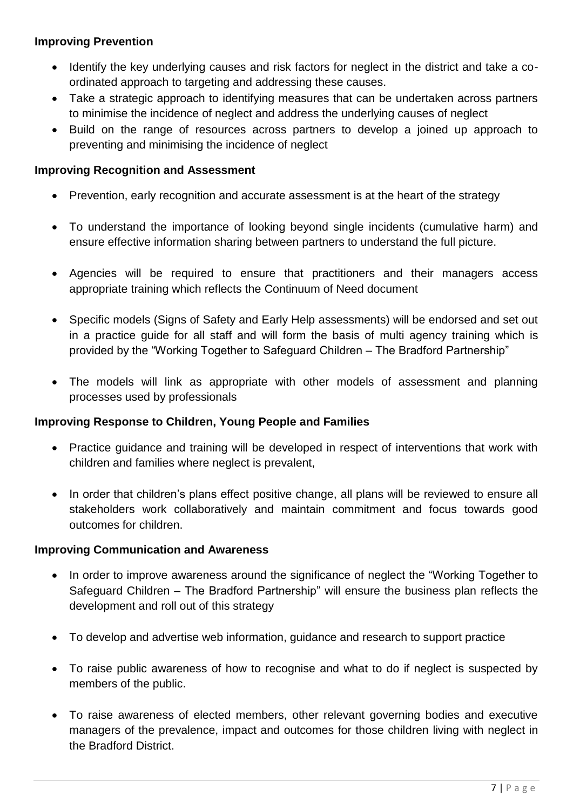#### **Improving Prevention**

- Identify the key underlying causes and risk factors for neglect in the district and take a coordinated approach to targeting and addressing these causes.
- Take a strategic approach to identifying measures that can be undertaken across partners to minimise the incidence of neglect and address the underlying causes of neglect
- Build on the range of resources across partners to develop a joined up approach to preventing and minimising the incidence of neglect

#### **Improving Recognition and Assessment**

- Prevention, early recognition and accurate assessment is at the heart of the strategy
- To understand the importance of looking beyond single incidents (cumulative harm) and ensure effective information sharing between partners to understand the full picture.
- Agencies will be required to ensure that practitioners and their managers access appropriate training which reflects the Continuum of Need document
- Specific models (Signs of Safety and Early Help assessments) will be endorsed and set out in a practice guide for all staff and will form the basis of multi agency training which is provided by the "Working Together to Safeguard Children – The Bradford Partnership"
- The models will link as appropriate with other models of assessment and planning processes used by professionals

#### **Improving Response to Children, Young People and Families**

- Practice guidance and training will be developed in respect of interventions that work with children and families where neglect is prevalent,
- In order that children's plans effect positive change, all plans will be reviewed to ensure all stakeholders work collaboratively and maintain commitment and focus towards good outcomes for children.

#### **Improving Communication and Awareness**

- In order to improve awareness around the significance of neglect the "Working Together to Safeguard Children – The Bradford Partnership" will ensure the business plan reflects the development and roll out of this strategy
- To develop and advertise web information, guidance and research to support practice
- To raise public awareness of how to recognise and what to do if neglect is suspected by members of the public.
- To raise awareness of elected members, other relevant governing bodies and executive managers of the prevalence, impact and outcomes for those children living with neglect in the Bradford District.